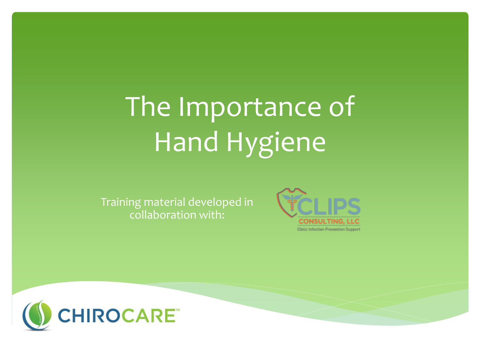# The Importance of Hand Hygiene

Training material developed in collaboration with:



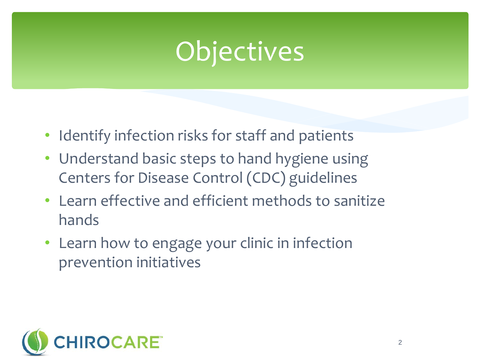### Objectives

- Identify infection risks for staff and patients
- Understand basic steps to hand hygiene using Centers for Disease Control (CDC) guidelines
- Learn effective and efficient methods to sanitize hands
- Learn how to engage your clinic in infection prevention initiatives

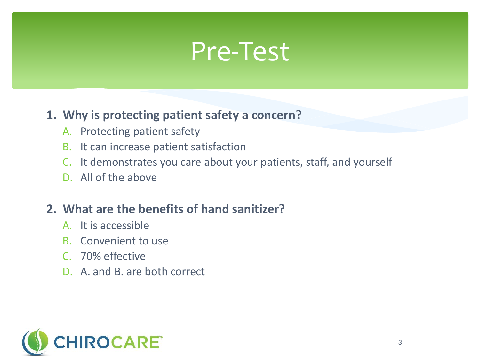### Pre-Test

#### **1. Why is protecting patient safety a concern?**

- A. Protecting patient safety
- B. It can increase patient satisfaction
- C. It demonstrates you care about your patients, staff, and yourself
- D. All of the above

#### **2. What are the benefits of hand sanitizer?**

- A. It is accessible
- B. Convenient to use
- C. 70% effective
- D. A. and B. are both correct

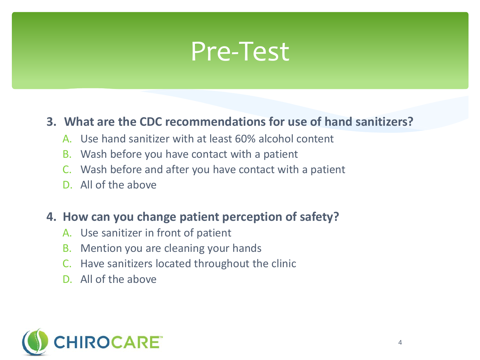### Pre-Test

#### **3. What are the CDC recommendations for use of hand sanitizers?**

- A. Use hand sanitizer with at least 60% alcohol content
- B. Wash before you have contact with a patient
- C. Wash before and after you have contact with a patient
- D. All of the above

#### **4. How can you change patient perception of safety?**

- A. Use sanitizer in front of patient
- B. Mention you are cleaning your hands
- C. Have sanitizers located throughout the clinic
- D. All of the above

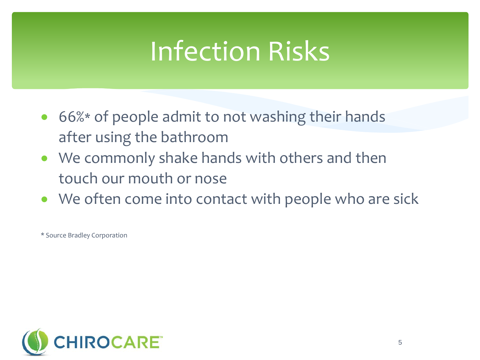### Infection Risks

- 66%\* of people admit to not washing their hands after using the bathroom
- We commonly shake hands with others and then touch our mouth or nose
- We often come into contact with people who are sick

\* Source Bradley Corporation

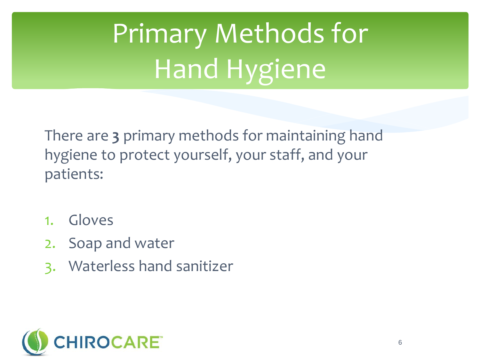# Primary Methods for Hand Hygiene

There are **3** primary methods for maintaining hand hygiene to protect yourself, your staff, and your patients:

- 1. Gloves
- 2. Soap and water
- 3. Waterless hand sanitizer

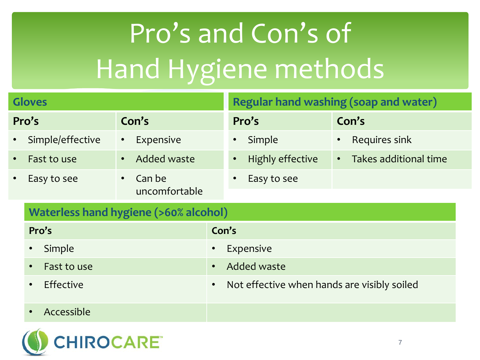# Pro's and Con's of Hand Hygiene methods

| <b>Gloves</b> |                                       |                          | <b>Regular hand washing (soap and water)</b>                  |  |  |
|---------------|---------------------------------------|--------------------------|---------------------------------------------------------------|--|--|
| Pro's         |                                       | Con's                    | Pro's<br>Con's                                                |  |  |
|               | Simple/effective                      | Expensive<br>$\bullet$   | Requires sink<br>Simple                                       |  |  |
|               | Fast to use                           | Added waste<br>$\bullet$ | <b>Highly effective</b><br>Takes additional time<br>$\bullet$ |  |  |
|               | Easy to see                           | Can be<br>$\bullet$      | Easy to see                                                   |  |  |
|               |                                       | uncomfortable            |                                                               |  |  |
|               | Waterless hand hygiene (>60% alcohol) |                          |                                                               |  |  |
|               | Pro's                                 |                          | Con's                                                         |  |  |
|               | Simple<br>$\bullet$                   |                          | Expensive<br>$\bullet$                                        |  |  |
|               | Fast to use<br>$\bullet$              |                          | Added waste<br>$\bullet$                                      |  |  |
|               | Effective<br>$\bullet$                |                          | Not effective when hands are visibly soiled                   |  |  |
|               | Accessible<br>$\bullet$               |                          |                                                               |  |  |

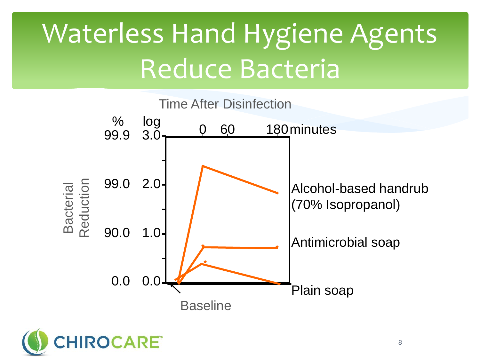## Waterless Hand Hygiene Agents Reduce Bacteria



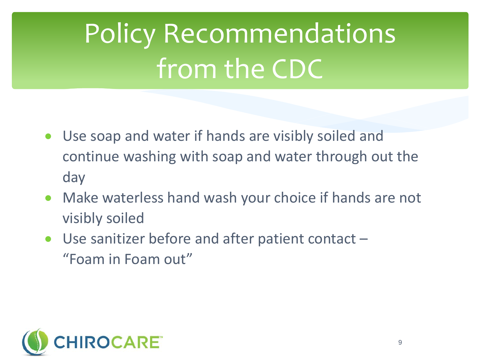## Policy Recommendations from the CDC

- Use soap and water if hands are visibly soiled and continue washing with soap and water through out the day
- Make waterless hand wash your choice if hands are not visibly soiled
- Use sanitizer before and after patient contact "Foam in Foam out"

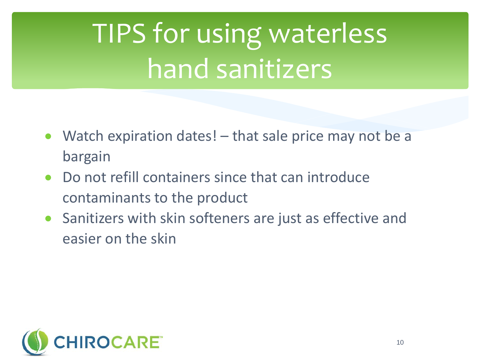## TIPS for using waterless hand sanitizers

- Watch expiration dates! that sale price may not be a bargain
- Do not refill containers since that can introduce contaminants to the product
- Sanitizers with skin softeners are just as effective and easier on the skin

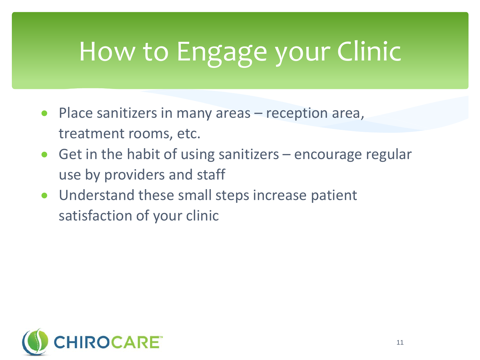## How to Engage your Clinic

- Place sanitizers in many areas reception area, treatment rooms, etc.
- Get in the habit of using sanitizers encourage regular use by providers and staff
- Understand these small steps increase patient satisfaction of your clinic

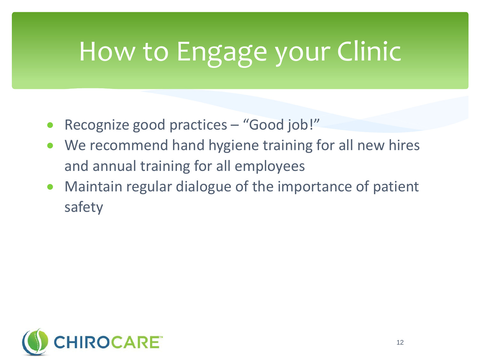## How to Engage your Clinic

- Recognize good practices "Good job!"
- We recommend hand hygiene training for all new hires and annual training for all employees
- Maintain regular dialogue of the importance of patient safety

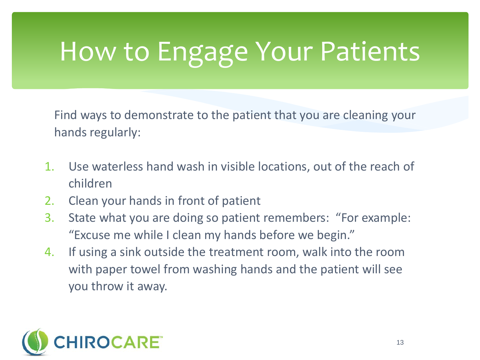### How to Engage Your Patients

Find ways to demonstrate to the patient that you are cleaning your hands regularly:

- 1. Use waterless hand wash in visible locations, out of the reach of children
- 2. Clean your hands in front of patient
- 3. State what you are doing so patient remembers: "For example: "Excuse me while I clean my hands before we begin."
- 4. If using a sink outside the treatment room, walk into the room with paper towel from washing hands and the patient will see you throw it away.

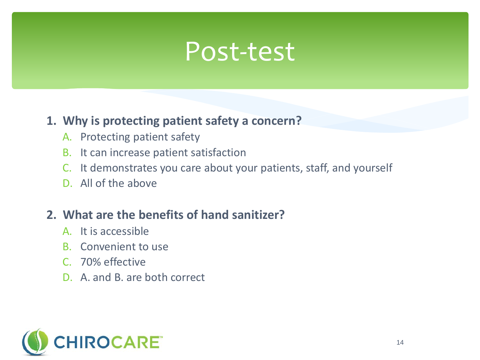### Post-test

#### **1. Why is protecting patient safety a concern?**

- A. Protecting patient safety
- B. It can increase patient satisfaction
- C. It demonstrates you care about your patients, staff, and yourself
- D. All of the above

#### **2. What are the benefits of hand sanitizer?**

- A. It is accessible
- B. Convenient to use
- C. 70% effective
- D. A. and B. are both correct

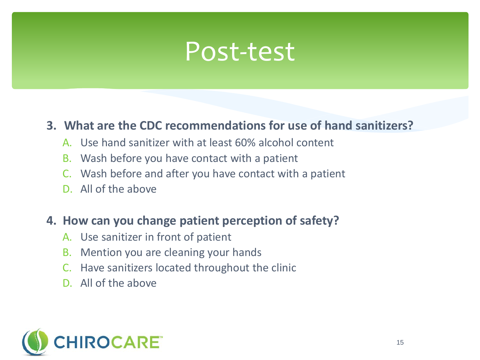### Post-test

#### **3. What are the CDC recommendations for use of hand sanitizers?**

- A. Use hand sanitizer with at least 60% alcohol content
- B. Wash before you have contact with a patient
- C. Wash before and after you have contact with a patient
- D. All of the above

#### **4. How can you change patient perception of safety?**

- A. Use sanitizer in front of patient
- B. Mention you are cleaning your hands
- C. Have sanitizers located throughout the clinic
- D. All of the above